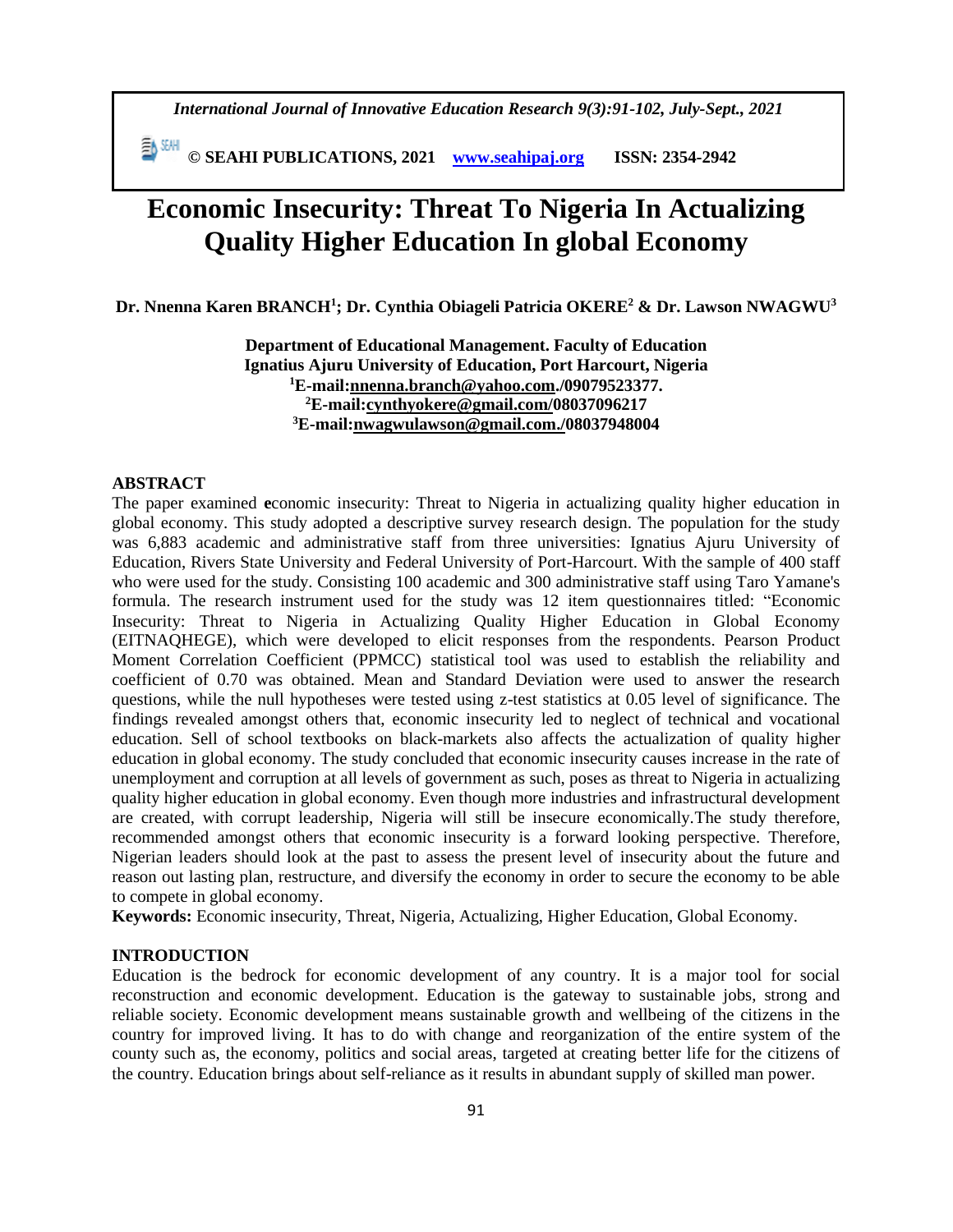*International Journal of Innovative Education Research 9(3):91-102, July-Sept., 2021*

**E**<sup>M</sup> © SEAHI PUBLICATIONS, 2021 **<u>www.seahipaj.org</u> ISSN: 2354-2942** 

# **Economic Insecurity: Threat To Nigeria In Actualizing Quality Higher Education In global Economy**

**Dr. Nnenna Karen BRANCH<sup>1</sup> ; Dr. Cynthia Obiageli Patricia OKERE<sup>2</sup> & Dr. Lawson NWAGWU<sup>3</sup>**

**Department of Educational Management. Faculty of Education Ignatius Ajuru University of Education, Port Harcourt, Nigeria <sup>1</sup>E-mail[:nnenna.branch@yahoo.com.](mailto:nnenna.branch@yahoo.com)/09079523377. <sup>2</sup>E-mail[:cynthyokere@gmail.com/](mailto:cynthyokere@gmail.com)08037096217 <sup>3</sup>E-mail[:nwagwulawson@gmail.com.](mailto:nwagwulawson@gmail.com)/08037948004**

#### **ABSTRACT**

The paper examined **e**conomic insecurity: Threat to Nigeria in actualizing quality higher education in global economy. This study adopted a descriptive survey research design. The population for the study was 6,883 academic and administrative staff from three universities: Ignatius Ajuru University of Education, Rivers State University and Federal University of Port-Harcourt. With the sample of 400 staff who were used for the study. Consisting 100 academic and 300 administrative staff using Taro Yamane's formula. The research instrument used for the study was 12 item questionnaires titled: "Economic Insecurity: Threat to Nigeria in Actualizing Quality Higher Education in Global Economy (EITNAQHEGE), which were developed to elicit responses from the respondents. Pearson Product Moment Correlation Coefficient (PPMCC) statistical tool was used to establish the reliability and coefficient of 0.70 was obtained. Mean and Standard Deviation were used to answer the research questions, while the null hypotheses were tested using z-test statistics at 0.05 level of significance. The findings revealed amongst others that, economic insecurity led to neglect of technical and vocational education. Sell of school textbooks on black-markets also affects the actualization of quality higher education in global economy. The study concluded that economic insecurity causes increase in the rate of unemployment and corruption at all levels of government as such, poses as threat to Nigeria in actualizing quality higher education in global economy. Even though more industries and infrastructural development are created, with corrupt leadership, Nigeria will still be insecure economically.The study therefore, recommended amongst others that economic insecurity is a forward looking perspective. Therefore, Nigerian leaders should look at the past to assess the present level of insecurity about the future and reason out lasting plan, restructure, and diversify the economy in order to secure the economy to be able to compete in global economy.

**Keywords:** Economic insecurity, Threat, Nigeria, Actualizing, Higher Education, Global Economy.

#### **INTRODUCTION**

Education is the bedrock for economic development of any country. It is a major tool for social reconstruction and economic development. Education is the gateway to sustainable jobs, strong and reliable society. Economic development means sustainable growth and wellbeing of the citizens in the country for improved living. It has to do with change and reorganization of the entire system of the county such as, the economy, politics and social areas, targeted at creating better life for the citizens of the country. Education brings about self-reliance as it results in abundant supply of skilled man power.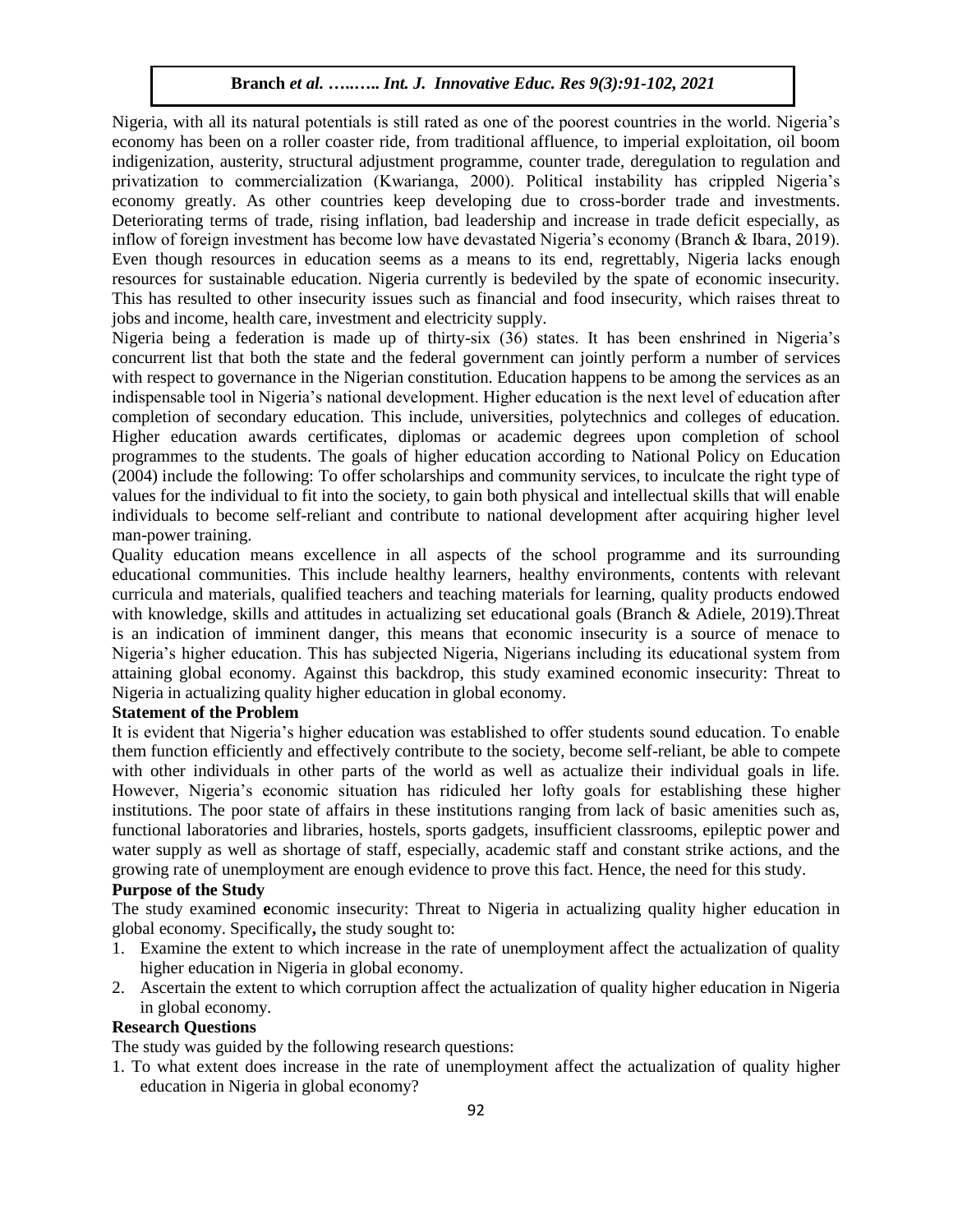Nigeria, with all its natural potentials is still rated as one of the poorest countries in the world. Nigeria's economy has been on a roller coaster ride, from traditional affluence, to imperial exploitation, oil boom indigenization, austerity, structural adjustment programme, counter trade, deregulation to regulation and privatization to commercialization (Kwarianga, 2000). Political instability has crippled Nigeria's economy greatly. As other countries keep developing due to cross-border trade and investments. Deteriorating terms of trade, rising inflation, bad leadership and increase in trade deficit especially, as inflow of foreign investment has become low have devastated Nigeria's economy (Branch & Ibara, 2019). Even though resources in education seems as a means to its end, regrettably, Nigeria lacks enough resources for sustainable education. Nigeria currently is bedeviled by the spate of economic insecurity. This has resulted to other insecurity issues such as financial and food insecurity, which raises threat to jobs and income, health care, investment and electricity supply.

Nigeria being a federation is made up of thirty-six (36) states. It has been enshrined in Nigeria's concurrent list that both the state and the federal government can jointly perform a number of services with respect to governance in the Nigerian constitution. Education happens to be among the services as an indispensable tool in Nigeria's national development. Higher education is the next level of education after completion of secondary education. This include, universities, polytechnics and colleges of education. Higher education awards certificates, diplomas or academic degrees upon completion of school programmes to the students. The goals of higher education according to National Policy on Education (2004) include the following: To offer scholarships and community services, to inculcate the right type of values for the individual to fit into the society, to gain both physical and intellectual skills that will enable individuals to become self-reliant and contribute to national development after acquiring higher level man-power training.

Quality education means excellence in all aspects of the school programme and its surrounding educational communities. This include healthy learners, healthy environments, contents with relevant curricula and materials, qualified teachers and teaching materials for learning, quality products endowed with knowledge, skills and attitudes in actualizing set educational goals (Branch & Adiele, 2019). Threat is an indication of imminent danger, this means that economic insecurity is a source of menace to Nigeria's higher education. This has subjected Nigeria, Nigerians including its educational system from attaining global economy. Against this backdrop, this study examined economic insecurity: Threat to Nigeria in actualizing quality higher education in global economy.

## **Statement of the Problem**

It is evident that Nigeria's higher education was established to offer students sound education. To enable them function efficiently and effectively contribute to the society, become self-reliant, be able to compete with other individuals in other parts of the world as well as actualize their individual goals in life. However, Nigeria's economic situation has ridiculed her lofty goals for establishing these higher institutions. The poor state of affairs in these institutions ranging from lack of basic amenities such as, functional laboratories and libraries, hostels, sports gadgets, insufficient classrooms, epileptic power and water supply as well as shortage of staff, especially, academic staff and constant strike actions, and the growing rate of unemployment are enough evidence to prove this fact. Hence, the need for this study.

## **Purpose of the Study**

The study examined **e**conomic insecurity: Threat to Nigeria in actualizing quality higher education in global economy. Specifically**,** the study sought to:

- 1. Examine the extent to which increase in the rate of unemployment affect the actualization of quality higher education in Nigeria in global economy.
- 2. Ascertain the extent to which corruption affect the actualization of quality higher education in Nigeria in global economy.

## **Research Questions**

The study was guided by the following research questions:

1. To what extent does increase in the rate of unemployment affect the actualization of quality higher education in Nigeria in global economy?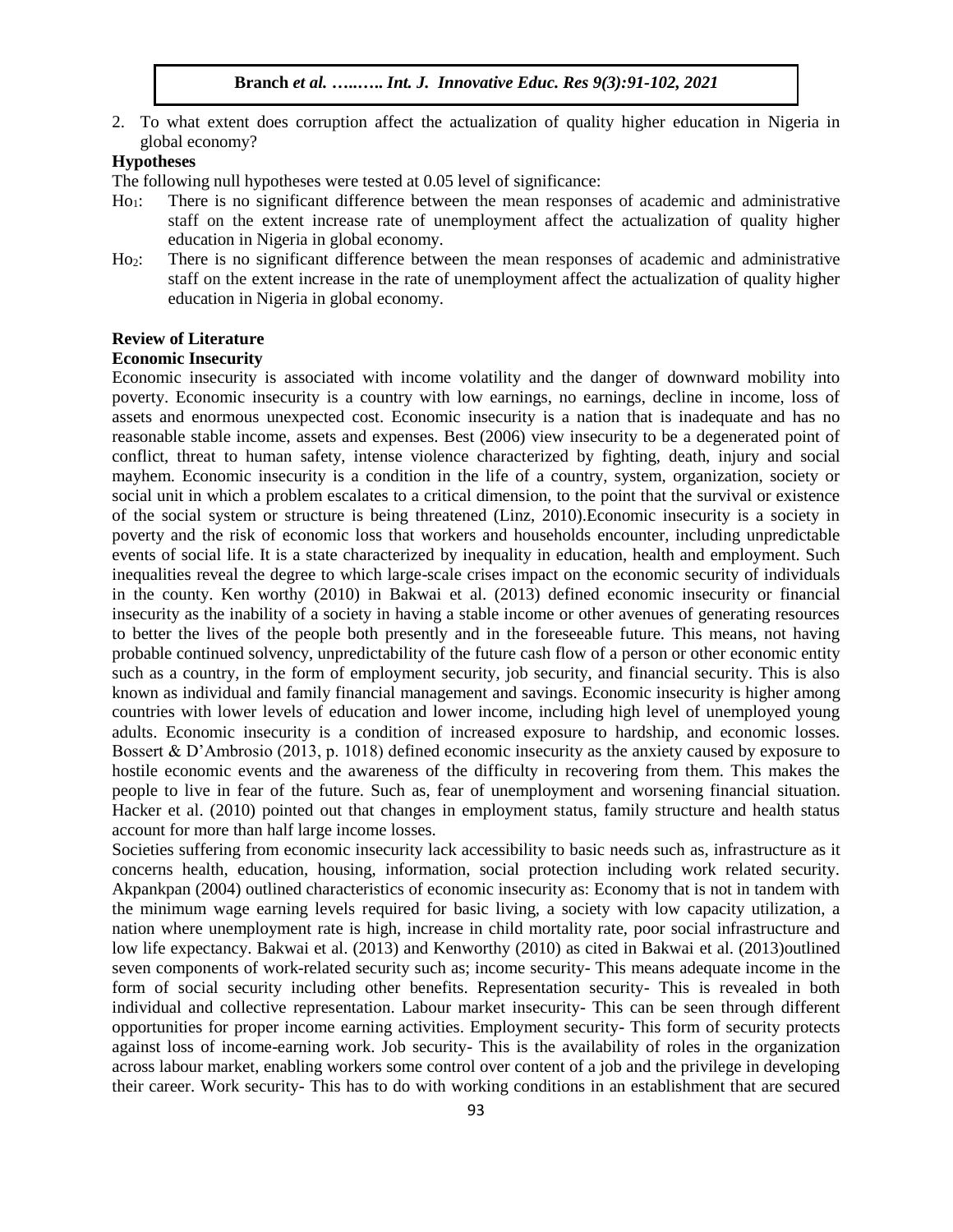2. To what extent does corruption affect the actualization of quality higher education in Nigeria in global economy?

## **Hypotheses**

The following null hypotheses were tested at 0.05 level of significance:

- Ho1: There is no significant difference between the mean responses of academic and administrative staff on the extent increase rate of unemployment affect the actualization of quality higher education in Nigeria in global economy.
- Ho2: There is no significant difference between the mean responses of academic and administrative staff on the extent increase in the rate of unemployment affect the actualization of quality higher education in Nigeria in global economy.

#### **Review of Literature**

#### **Economic Insecurity**

Economic insecurity is associated with income volatility and the danger of downward mobility into poverty. Economic insecurity is a country with low earnings, no earnings, decline in income, loss of assets and enormous unexpected cost. Economic insecurity is a nation that is inadequate and has no reasonable stable income, assets and expenses. Best (2006) view insecurity to be a degenerated point of conflict, threat to human safety, intense violence characterized by fighting, death, injury and social mayhem. Economic insecurity is a condition in the life of a country, system, organization, society or social unit in which a problem escalates to a critical dimension, to the point that the survival or existence of the social system or structure is being threatened (Linz, 2010).Economic insecurity is a society in poverty and the risk of economic loss that workers and households encounter, including unpredictable events of social life. It is a state characterized by inequality in education, health and employment. Such inequalities reveal the degree to which large-scale crises impact on the economic security of individuals in the county. Ken worthy (2010) in Bakwai et al. (2013) defined economic insecurity or financial insecurity as the inability of a society in having a stable income or other avenues of generating resources to better the lives of the people both presently and in the foreseeable future. This means, not having probable continued solvency, unpredictability of the future cash flow of a person or other economic entity such as a country, in the form of employment security, job security, and financial security. This is also known as individual and family financial management and savings. Economic insecurity is higher among countries with lower levels of education and lower income, including high level of unemployed young adults. Economic insecurity is a condition of increased exposure to hardship, and economic losses. Bossert & D'Ambrosio (2013, p. 1018) defined economic insecurity as the anxiety caused by exposure to hostile economic events and the awareness of the difficulty in recovering from them. This makes the people to live in fear of the future. Such as, fear of unemployment and worsening financial situation. Hacker et al. (2010) pointed out that changes in employment status, family structure and health status account for more than half large income losses.

Societies suffering from economic insecurity lack accessibility to basic needs such as, infrastructure as it concerns health, education, housing, information, social protection including work related security. Akpankpan (2004) outlined characteristics of economic insecurity as: Economy that is not in tandem with the minimum wage earning levels required for basic living, a society with low capacity utilization, a nation where unemployment rate is high, increase in child mortality rate, poor social infrastructure and low life expectancy. Bakwai et al. (2013) and Kenworthy (2010) as cited in Bakwai et al. (2013)outlined seven components of work-related security such as; income security- This means adequate income in the form of social security including other benefits. Representation security- This is revealed in both individual and collective representation. Labour market insecurity- This can be seen through different opportunities for proper income earning activities. Employment security- This form of security protects against loss of income-earning work. Job security- This is the availability of roles in the organization across labour market, enabling workers some control over content of a job and the privilege in developing their career. Work security- This has to do with working conditions in an establishment that are secured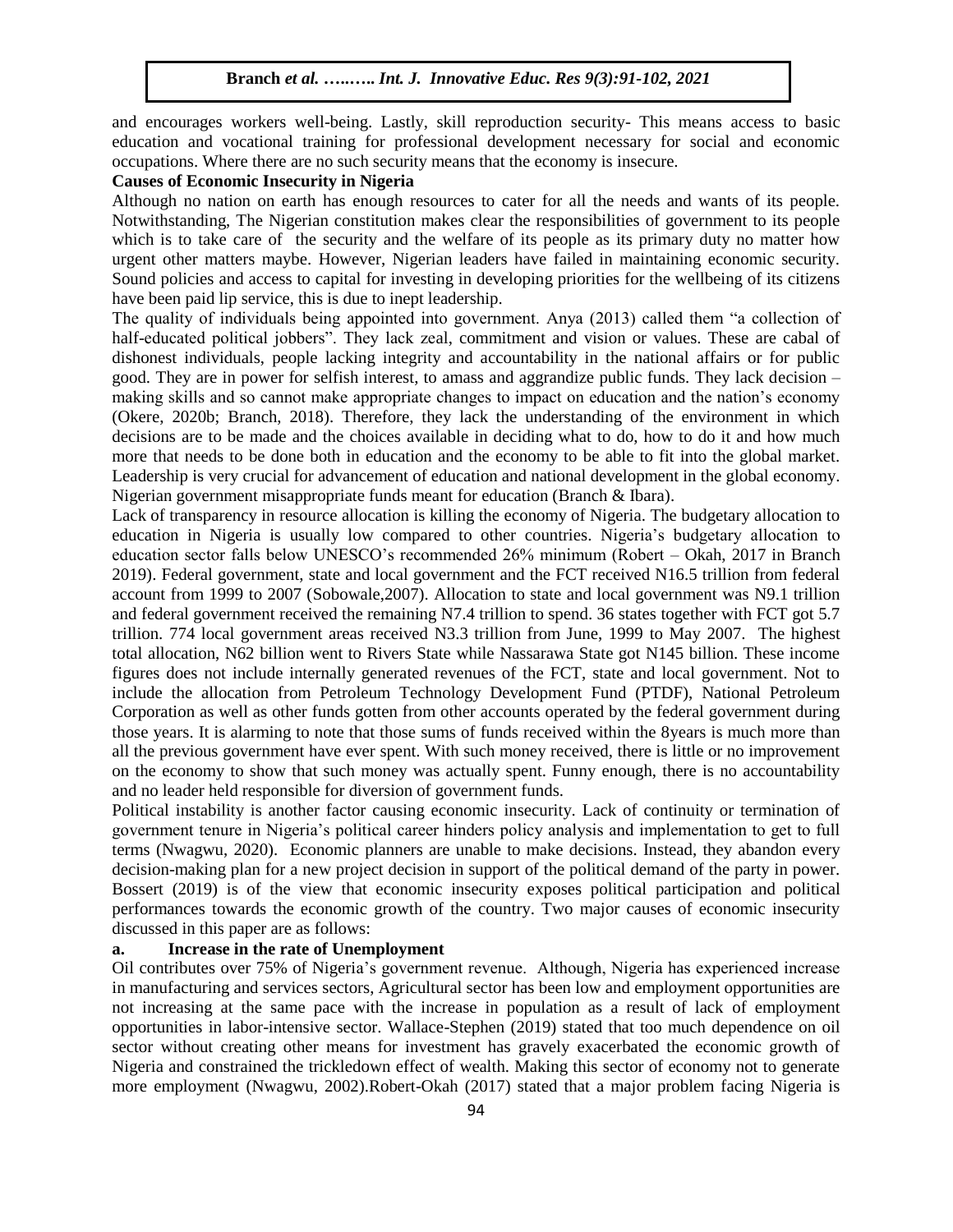and encourages workers well-being. Lastly, skill reproduction security- This means access to basic education and vocational training for professional development necessary for social and economic occupations. Where there are no such security means that the economy is insecure.

## **Causes of Economic Insecurity in Nigeria**

Although no nation on earth has enough resources to cater for all the needs and wants of its people. Notwithstanding, The Nigerian constitution makes clear the responsibilities of government to its people which is to take care of the security and the welfare of its people as its primary duty no matter how urgent other matters maybe. However, Nigerian leaders have failed in maintaining economic security. Sound policies and access to capital for investing in developing priorities for the wellbeing of its citizens have been paid lip service, this is due to inept leadership.

The quality of individuals being appointed into government. Anya (2013) called them "a collection of half-educated political jobbers". They lack zeal, commitment and vision or values. These are cabal of dishonest individuals, people lacking integrity and accountability in the national affairs or for public good. They are in power for selfish interest, to amass and aggrandize public funds. They lack decision – making skills and so cannot make appropriate changes to impact on education and the nation's economy (Okere, 2020b; Branch, 2018). Therefore, they lack the understanding of the environment in which decisions are to be made and the choices available in deciding what to do, how to do it and how much more that needs to be done both in education and the economy to be able to fit into the global market. Leadership is very crucial for advancement of education and national development in the global economy. Nigerian government misappropriate funds meant for education (Branch & Ibara).

Lack of transparency in resource allocation is killing the economy of Nigeria. The budgetary allocation to education in Nigeria is usually low compared to other countries. Nigeria's budgetary allocation to education sector falls below UNESCO's recommended 26% minimum (Robert – Okah, 2017 in Branch 2019). Federal government, state and local government and the FCT received N16.5 trillion from federal account from 1999 to 2007 (Sobowale,2007). Allocation to state and local government was N9.1 trillion and federal government received the remaining N7.4 trillion to spend. 36 states together with FCT got 5.7 trillion. 774 local government areas received N3.3 trillion from June, 1999 to May 2007. The highest total allocation, N62 billion went to Rivers State while Nassarawa State got N145 billion. These income figures does not include internally generated revenues of the FCT, state and local government. Not to include the allocation from Petroleum Technology Development Fund (PTDF), National Petroleum Corporation as well as other funds gotten from other accounts operated by the federal government during those years. It is alarming to note that those sums of funds received within the 8years is much more than all the previous government have ever spent. With such money received, there is little or no improvement on the economy to show that such money was actually spent. Funny enough, there is no accountability and no leader held responsible for diversion of government funds.

Political instability is another factor causing economic insecurity. Lack of continuity or termination of government tenure in Nigeria's political career hinders policy analysis and implementation to get to full terms (Nwagwu, 2020). Economic planners are unable to make decisions. Instead, they abandon every decision-making plan for a new project decision in support of the political demand of the party in power. Bossert (2019) is of the view that economic insecurity exposes political participation and political performances towards the economic growth of the country. Two major causes of economic insecurity discussed in this paper are as follows:

## **a. Increase in the rate of Unemployment**

Oil contributes over 75% of Nigeria's government revenue. Although, Nigeria has experienced increase in manufacturing and services sectors, Agricultural sector has been low and employment opportunities are not increasing at the same pace with the increase in population as a result of lack of employment opportunities in labor-intensive sector. Wallace-Stephen (2019) stated that too much dependence on oil sector without creating other means for investment has gravely exacerbated the economic growth of Nigeria and constrained the trickledown effect of wealth. Making this sector of economy not to generate more employment (Nwagwu, 2002).Robert-Okah (2017) stated that a major problem facing Nigeria is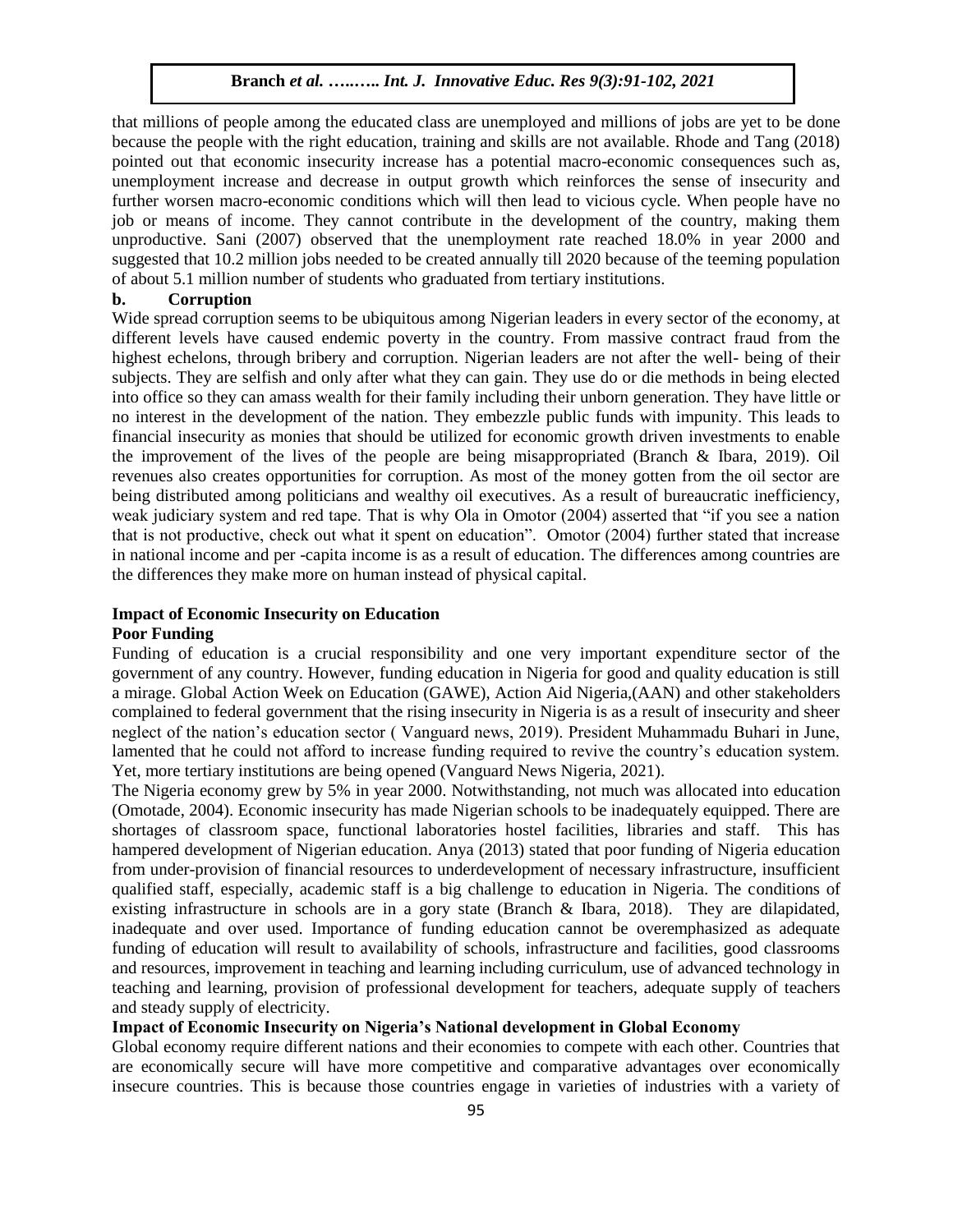that millions of people among the educated class are unemployed and millions of jobs are yet to be done because the people with the right education, training and skills are not available. Rhode and Tang (2018) pointed out that economic insecurity increase has a potential macro-economic consequences such as, unemployment increase and decrease in output growth which reinforces the sense of insecurity and further worsen macro-economic conditions which will then lead to vicious cycle. When people have no job or means of income. They cannot contribute in the development of the country, making them unproductive. Sani (2007) observed that the unemployment rate reached 18.0% in year 2000 and suggested that 10.2 million jobs needed to be created annually till 2020 because of the teeming population of about 5.1 million number of students who graduated from tertiary institutions.

### **b. Corruption**

Wide spread corruption seems to be ubiquitous among Nigerian leaders in every sector of the economy, at different levels have caused endemic poverty in the country. From massive contract fraud from the highest echelons, through bribery and corruption. Nigerian leaders are not after the well- being of their subjects. They are selfish and only after what they can gain. They use do or die methods in being elected into office so they can amass wealth for their family including their unborn generation. They have little or no interest in the development of the nation. They embezzle public funds with impunity. This leads to financial insecurity as monies that should be utilized for economic growth driven investments to enable the improvement of the lives of the people are being misappropriated (Branch & Ibara, 2019). Oil revenues also creates opportunities for corruption. As most of the money gotten from the oil sector are being distributed among politicians and wealthy oil executives. As a result of bureaucratic inefficiency, weak judiciary system and red tape. That is why Ola in Omotor (2004) asserted that "if you see a nation that is not productive, check out what it spent on education". Omotor (2004) further stated that increase in national income and per -capita income is as a result of education. The differences among countries are the differences they make more on human instead of physical capital.

## **Impact of Economic Insecurity on Education**

## **Poor Funding**

Funding of education is a crucial responsibility and one very important expenditure sector of the government of any country. However, funding education in Nigeria for good and quality education is still a mirage. Global Action Week on Education (GAWE), Action Aid Nigeria,(AAN) and other stakeholders complained to federal government that the rising insecurity in Nigeria is as a result of insecurity and sheer neglect of the nation's education sector ( Vanguard news, 2019). President Muhammadu Buhari in June, lamented that he could not afford to increase funding required to revive the country's education system. Yet, more tertiary institutions are being opened (Vanguard News Nigeria, 2021).

The Nigeria economy grew by 5% in year 2000. Notwithstanding, not much was allocated into education (Omotade, 2004). Economic insecurity has made Nigerian schools to be inadequately equipped. There are shortages of classroom space, functional laboratories hostel facilities, libraries and staff. This has hampered development of Nigerian education. Anya (2013) stated that poor funding of Nigeria education from under-provision of financial resources to underdevelopment of necessary infrastructure, insufficient qualified staff, especially, academic staff is a big challenge to education in Nigeria. The conditions of existing infrastructure in schools are in a gory state (Branch & Ibara, 2018). They are dilapidated, inadequate and over used. Importance of funding education cannot be overemphasized as adequate funding of education will result to availability of schools, infrastructure and facilities, good classrooms and resources, improvement in teaching and learning including curriculum, use of advanced technology in teaching and learning, provision of professional development for teachers, adequate supply of teachers and steady supply of electricity.

## **Impact of Economic Insecurity on Nigeria's National development in Global Economy**

Global economy require different nations and their economies to compete with each other. Countries that are economically secure will have more competitive and comparative advantages over economically insecure countries. This is because those countries engage in varieties of industries with a variety of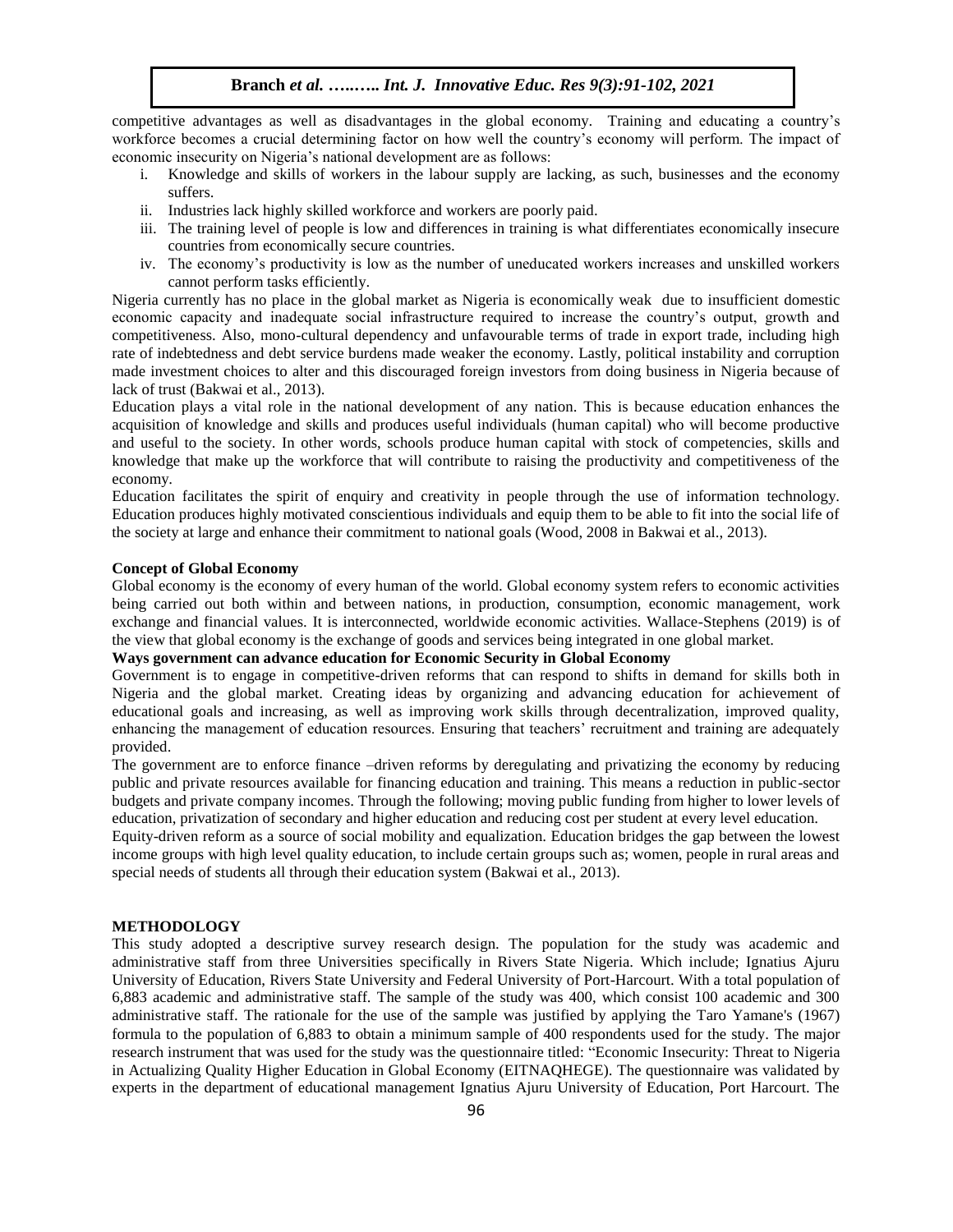competitive advantages as well as disadvantages in the global economy. Training and educating a country's workforce becomes a crucial determining factor on how well the country's economy will perform. The impact of economic insecurity on Nigeria's national development are as follows:

- i. Knowledge and skills of workers in the labour supply are lacking, as such, businesses and the economy suffers.
- ii. Industries lack highly skilled workforce and workers are poorly paid.
- iii. The training level of people is low and differences in training is what differentiates economically insecure countries from economically secure countries.
- iv. The economy's productivity is low as the number of uneducated workers increases and unskilled workers cannot perform tasks efficiently.

Nigeria currently has no place in the global market as Nigeria is economically weak due to insufficient domestic economic capacity and inadequate social infrastructure required to increase the country's output, growth and competitiveness. Also, mono-cultural dependency and unfavourable terms of trade in export trade, including high rate of indebtedness and debt service burdens made weaker the economy. Lastly, political instability and corruption made investment choices to alter and this discouraged foreign investors from doing business in Nigeria because of lack of trust (Bakwai et al., 2013).

Education plays a vital role in the national development of any nation. This is because education enhances the acquisition of knowledge and skills and produces useful individuals (human capital) who will become productive and useful to the society. In other words, schools produce human capital with stock of competencies, skills and knowledge that make up the workforce that will contribute to raising the productivity and competitiveness of the economy.

Education facilitates the spirit of enquiry and creativity in people through the use of information technology. Education produces highly motivated conscientious individuals and equip them to be able to fit into the social life of the society at large and enhance their commitment to national goals (Wood, 2008 in Bakwai et al., 2013).

#### **Concept of Global Economy**

Global economy is the economy of every human of the world. Global economy system refers to economic activities being carried out both within and between nations, in production, consumption, economic management, work exchange and financial values. It is interconnected, worldwide economic activities. Wallace-Stephens (2019) is of the view that global economy is the exchange of goods and services being integrated in one global market.

### **Ways government can advance education for Economic Security in Global Economy**

Government is to engage in competitive-driven reforms that can respond to shifts in demand for skills both in Nigeria and the global market. Creating ideas by organizing and advancing education for achievement of educational goals and increasing, as well as improving work skills through decentralization, improved quality, enhancing the management of education resources. Ensuring that teachers' recruitment and training are adequately provided.

The government are to enforce finance –driven reforms by deregulating and privatizing the economy by reducing public and private resources available for financing education and training. This means a reduction in public-sector budgets and private company incomes. Through the following; moving public funding from higher to lower levels of education, privatization of secondary and higher education and reducing cost per student at every level education.

Equity-driven reform as a source of social mobility and equalization. Education bridges the gap between the lowest income groups with high level quality education, to include certain groups such as; women, people in rural areas and special needs of students all through their education system (Bakwai et al., 2013).

#### **METHODOLOGY**

This study adopted a descriptive survey research design. The population for the study was academic and administrative staff from three Universities specifically in Rivers State Nigeria. Which include; Ignatius Ajuru University of Education, Rivers State University and Federal University of Port-Harcourt. With a total population of 6,883 academic and administrative staff. The sample of the study was 400, which consist 100 academic and 300 administrative staff. The rationale for the use of the sample was justified by applying the Taro Yamane's (1967) formula to the population of 6,883 to obtain a minimum sample of 400 respondents used for the study. The major research instrument that was used for the study was the questionnaire titled: "Economic Insecurity: Threat to Nigeria in Actualizing Quality Higher Education in Global Economy (EITNAQHEGE). The questionnaire was validated by experts in the department of educational management Ignatius Ajuru University of Education, Port Harcourt. The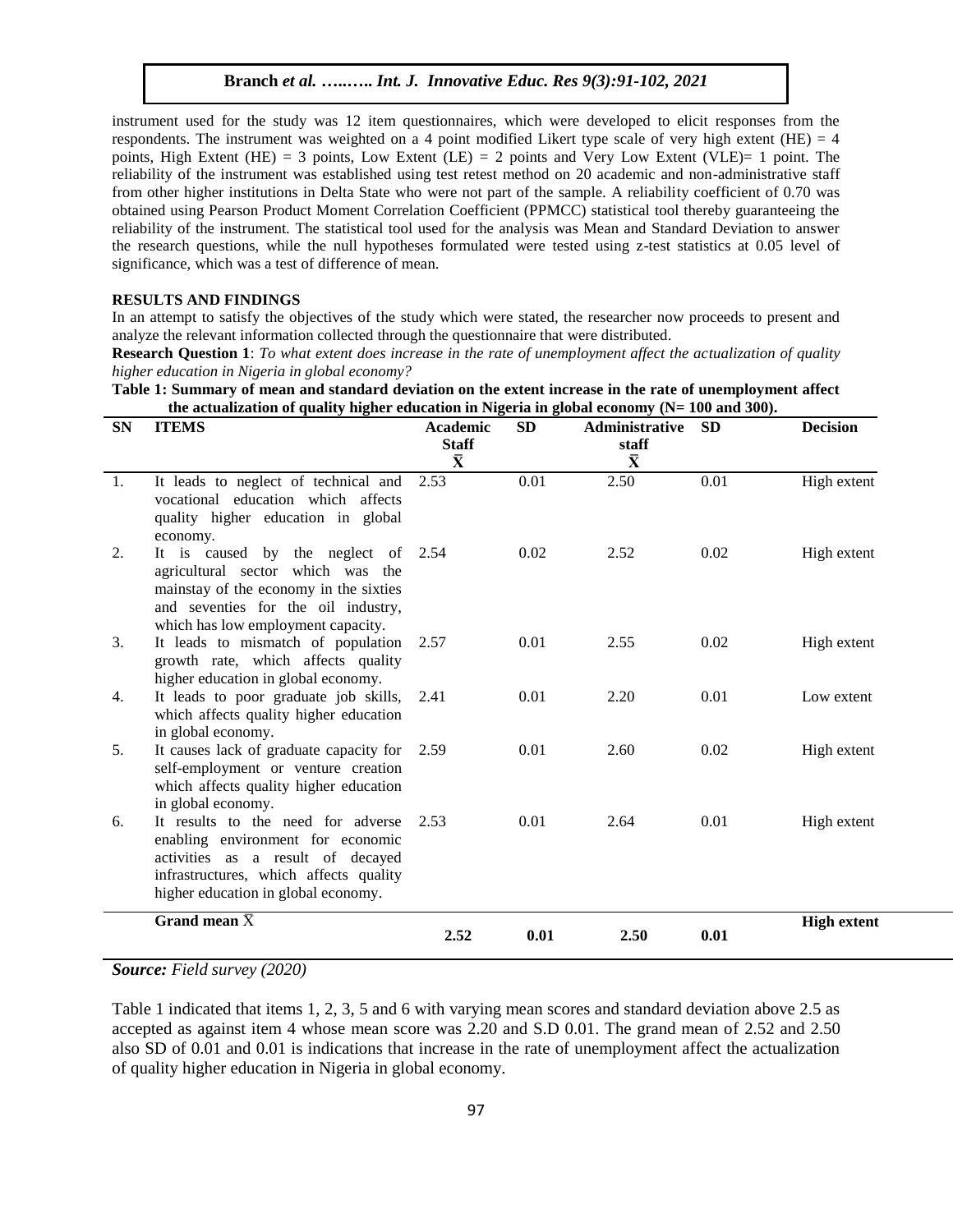instrument used for the study was 12 item questionnaires, which were developed to elicit responses from the respondents. The instrument was weighted on a 4 point modified Likert type scale of very high extent (HE)  $=$  4 points, High Extent (HE) = 3 points, Low Extent (LE) = 2 points and Very Low Extent (VLE)= 1 point. The reliability of the instrument was established using test retest method on 20 academic and non-administrative staff from other higher institutions in Delta State who were not part of the sample. A reliability coefficient of 0.70 was obtained using Pearson Product Moment Correlation Coefficient (PPMCC) statistical tool thereby guaranteeing the reliability of the instrument. The statistical tool used for the analysis was Mean and Standard Deviation to answer the research questions, while the null hypotheses formulated were tested using z-test statistics at 0.05 level of significance, which was a test of difference of mean.

#### **RESULTS AND FINDINGS**

In an attempt to satisfy the objectives of the study which were stated, the researcher now proceeds to present and analyze the relevant information collected through the questionnaire that were distributed.

**Research Question 1**: *To what extent does increase in the rate of unemployment affect the actualization of quality higher education in Nigeria in global economy?*

|  | Table 1: Summary of mean and standard deviation on the extent increase in the rate of unemployment affect |
|--|-----------------------------------------------------------------------------------------------------------|
|  | the actualization of quality higher education in Nigeria in global economy $(N = 100$ and 300).           |

| <b>SN</b> | <b>ITEMS</b>                                                                                                                                                                                    | <b>Academic</b><br><b>Staff</b><br>$\bar{\mathbf{X}}$ | <b>SD</b> | <b>Administrative</b><br>staff<br>$\bar{\mathbf{X}}$ | <b>SD</b> | <b>Decision</b>    |
|-----------|-------------------------------------------------------------------------------------------------------------------------------------------------------------------------------------------------|-------------------------------------------------------|-----------|------------------------------------------------------|-----------|--------------------|
| 1.        | It leads to neglect of technical and<br>vocational education which affects<br>quality higher education in global<br>economy.                                                                    | 2.53                                                  | 0.01      | 2.50                                                 | 0.01      | High extent        |
| 2.        | It is caused by the neglect of 2.54<br>agricultural sector which was the<br>mainstay of the economy in the sixties<br>and seventies for the oil industry,<br>which has low employment capacity. |                                                       | 0.02      | 2.52                                                 | 0.02      | High extent        |
| 3.        | It leads to mismatch of population<br>growth rate, which affects quality<br>higher education in global economy.                                                                                 | 2.57                                                  | 0.01      | 2.55                                                 | 0.02      | High extent        |
| 4.        | It leads to poor graduate job skills,<br>which affects quality higher education<br>in global economy.                                                                                           | 2.41                                                  | 0.01      | 2.20                                                 | 0.01      | Low extent         |
| 5.        | It causes lack of graduate capacity for<br>self-employment or venture creation<br>which affects quality higher education<br>in global economy.                                                  | 2.59                                                  | 0.01      | 2.60                                                 | 0.02      | High extent        |
| 6.        | It results to the need for adverse<br>enabling environment for economic<br>activities as a result of decayed<br>infrastructures, which affects quality<br>higher education in global economy.   | 2.53                                                  | 0.01      | 2.64                                                 | 0.01      | High extent        |
|           | Grand mean $\bar{X}$                                                                                                                                                                            | 2.52                                                  | 0.01      | 2.50                                                 | 0.01      | <b>High extent</b> |

*Source: Field survey (2020)*

Table 1 indicated that items 1, 2, 3, 5 and 6 with varying mean scores and standard deviation above 2.5 as accepted as against item 4 whose mean score was 2.20 and S.D 0.01. The grand mean of 2.52 and 2.50 also SD of 0.01 and 0.01 is indications that increase in the rate of unemployment affect the actualization of quality higher education in Nigeria in global economy.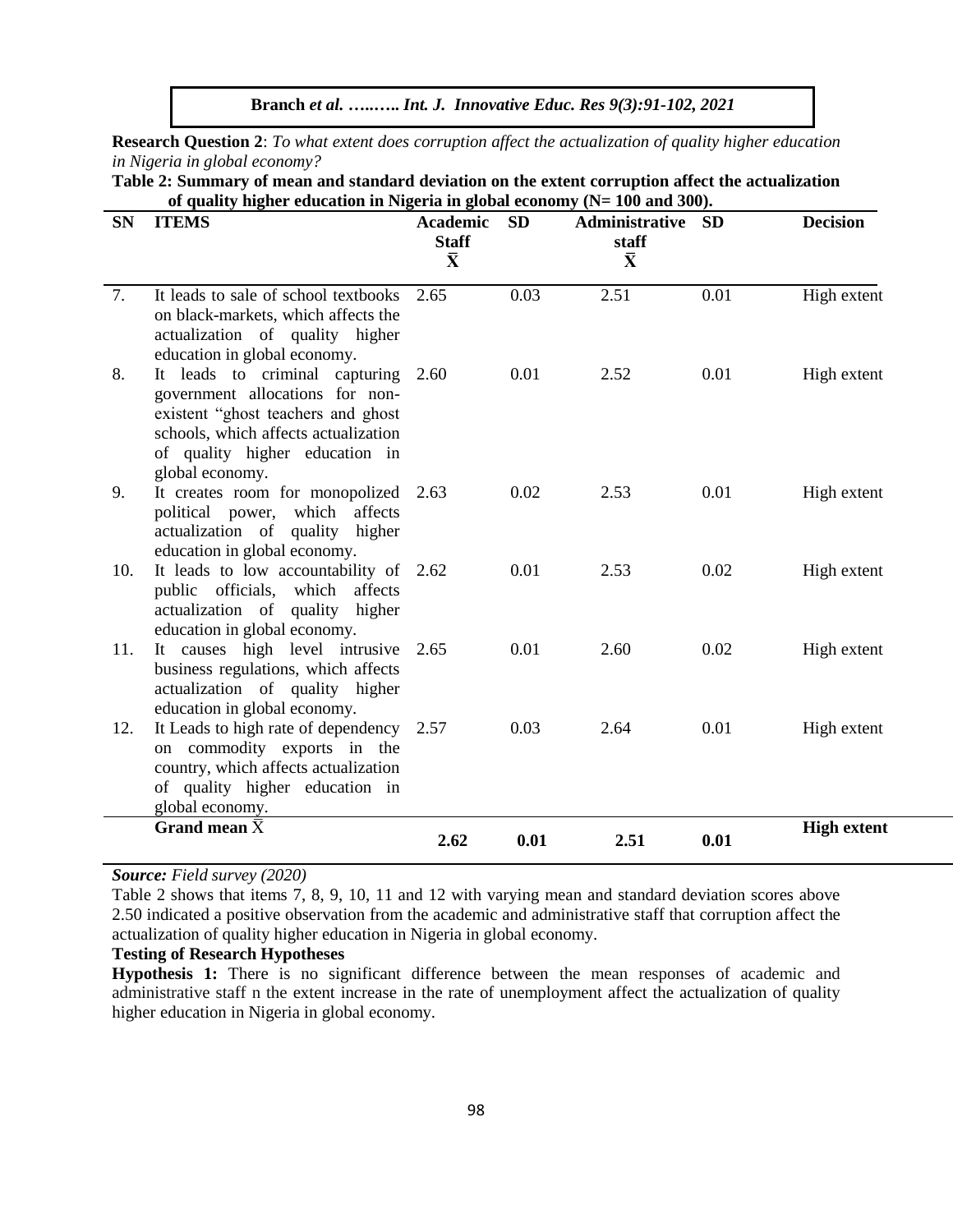**Branch** *et al.* **…..…..** *Int. J. Innovative Educ. Res 9(3):91-102, 2021*

**Research Question 2**: *To what extent does corruption affect the actualization of quality higher education in Nigeria in global economy?*

**Table 2: Summary of mean and standard deviation on the extent corruption affect the actualization of quality higher education in Nigeria in global economy (N= 100 and 300).**

| <b>SN</b> | or quanty ingher cuucation in Fugeria in grobar economy<br><b>ITEMS</b>                                                                                                                              | <b>Academic</b><br><b>Staff</b><br>$\bar{\mathbf{X}}$ | <b>SD</b> | $(11 - 100$ and $00$<br>Administrative<br>staff<br>$\bar{\mathbf{X}}$ | <b>SD</b> | <b>Decision</b>    |
|-----------|------------------------------------------------------------------------------------------------------------------------------------------------------------------------------------------------------|-------------------------------------------------------|-----------|-----------------------------------------------------------------------|-----------|--------------------|
| 7.        | It leads to sale of school textbooks<br>on black-markets, which affects the<br>actualization of quality higher<br>education in global economy.                                                       | 2.65                                                  | 0.03      | 2.51                                                                  | 0.01      | High extent        |
| 8.        | It leads to criminal capturing<br>government allocations for non-<br>existent "ghost teachers and ghost<br>schools, which affects actualization<br>of quality higher education in<br>global economy. | 2.60                                                  | 0.01      | 2.52                                                                  | 0.01      | High extent        |
| 9.        | It creates room for monopolized 2.63<br>political power, which affects<br>actualization of quality higher<br>education in global economy.                                                            |                                                       | 0.02      | 2.53                                                                  | 0.01      | High extent        |
| 10.       | It leads to low accountability of 2.62<br>public officials, which affects<br>actualization of quality higher<br>education in global economy.                                                         |                                                       | 0.01      | 2.53                                                                  | 0.02      | High extent        |
| 11.       | It causes high level intrusive 2.65<br>business regulations, which affects<br>actualization of quality higher<br>education in global economy.                                                        |                                                       | 0.01      | 2.60                                                                  | 0.02      | High extent        |
| 12.       | It Leads to high rate of dependency 2.57<br>on commodity exports in the<br>country, which affects actualization<br>of quality higher education in<br>global economy.                                 |                                                       | 0.03      | 2.64                                                                  | 0.01      | High extent        |
|           | Grand mean $\bar{X}$                                                                                                                                                                                 | 2.62                                                  | 0.01      | 2.51                                                                  | 0.01      | <b>High extent</b> |

*Source: Field survey (2020)*

Table 2 shows that items 7, 8, 9, 10, 11 and 12 with varying mean and standard deviation scores above 2.50 indicated a positive observation from the academic and administrative staff that corruption affect the actualization of quality higher education in Nigeria in global economy.

## **Testing of Research Hypotheses**

**Hypothesis 1:** There is no significant difference between the mean responses of academic and administrative staff n the extent increase in the rate of unemployment affect the actualization of quality higher education in Nigeria in global economy.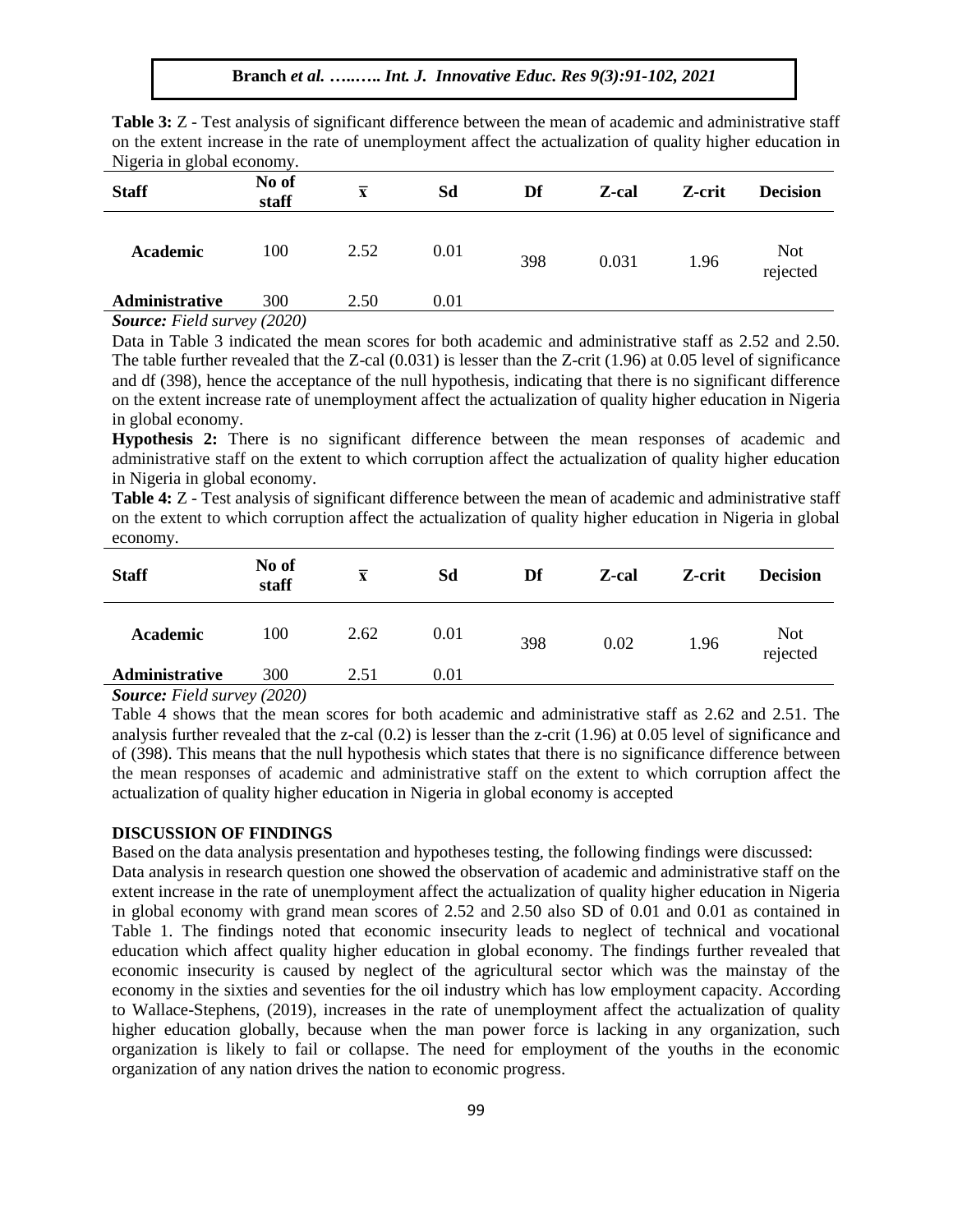| Nigeria in global economy. |                |                         |      |     |       |        |                        |
|----------------------------|----------------|-------------------------|------|-----|-------|--------|------------------------|
| <b>Staff</b>               | No of<br>staff | $\overline{\mathbf{x}}$ | Sd   | Df  | Z-cal | Z-crit | <b>Decision</b>        |
| Academic                   | 100            | 2.52                    | 0.01 | 398 | 0.031 | 1.96   | <b>Not</b><br>rejected |
| Administrative             | 300            | 2.50                    | 0.01 |     |       |        |                        |
|                            |                |                         |      |     |       |        |                        |

**Table 3:** Z - Test analysis of significant difference between the mean of academic and administrative staff on the extent increase in the rate of unemployment affect the actualization of quality higher education in

*Source: Field survey (2020)*

Data in Table 3 indicated the mean scores for both academic and administrative staff as 2.52 and 2.50. The table further revealed that the Z-cal (0.031) is lesser than the Z-crit (1.96) at 0.05 level of significance and df (398), hence the acceptance of the null hypothesis, indicating that there is no significant difference on the extent increase rate of unemployment affect the actualization of quality higher education in Nigeria in global economy.

**Hypothesis 2:** There is no significant difference between the mean responses of academic and administrative staff on the extent to which corruption affect the actualization of quality higher education in Nigeria in global economy.

**Table 4:** Z - Test analysis of significant difference between the mean of academic and administrative staff on the extent to which corruption affect the actualization of quality higher education in Nigeria in global economy.

| <b>Staff</b>   | No of<br>staff | $\overline{\mathbf{x}}$ | Sd   | Df  | Z-cal | Z-crit | <b>Decision</b>        |
|----------------|----------------|-------------------------|------|-----|-------|--------|------------------------|
| Academic       | 100            | 2.62                    | 0.01 | 398 | 0.02  | 1.96   | <b>Not</b><br>rejected |
| Administrative | 300            | 2.51                    | 0.01 |     |       |        |                        |

*Source: Field survey (2020)*

Table 4 shows that the mean scores for both academic and administrative staff as 2.62 and 2.51. The analysis further revealed that the z-cal (0.2) is lesser than the z-crit (1.96) at 0.05 level of significance and of (398). This means that the null hypothesis which states that there is no significance difference between the mean responses of academic and administrative staff on the extent to which corruption affect the actualization of quality higher education in Nigeria in global economy is accepted

#### **DISCUSSION OF FINDINGS**

Based on the data analysis presentation and hypotheses testing, the following findings were discussed: Data analysis in research question one showed the observation of academic and administrative staff on the extent increase in the rate of unemployment affect the actualization of quality higher education in Nigeria in global economy with grand mean scores of 2.52 and 2.50 also SD of 0.01 and 0.01 as contained in Table 1. The findings noted that economic insecurity leads to neglect of technical and vocational education which affect quality higher education in global economy. The findings further revealed that economic insecurity is caused by neglect of the agricultural sector which was the mainstay of the economy in the sixties and seventies for the oil industry which has low employment capacity. According to Wallace-Stephens, (2019), increases in the rate of unemployment affect the actualization of quality higher education globally, because when the man power force is lacking in any organization, such organization is likely to fail or collapse. The need for employment of the youths in the economic organization of any nation drives the nation to economic progress.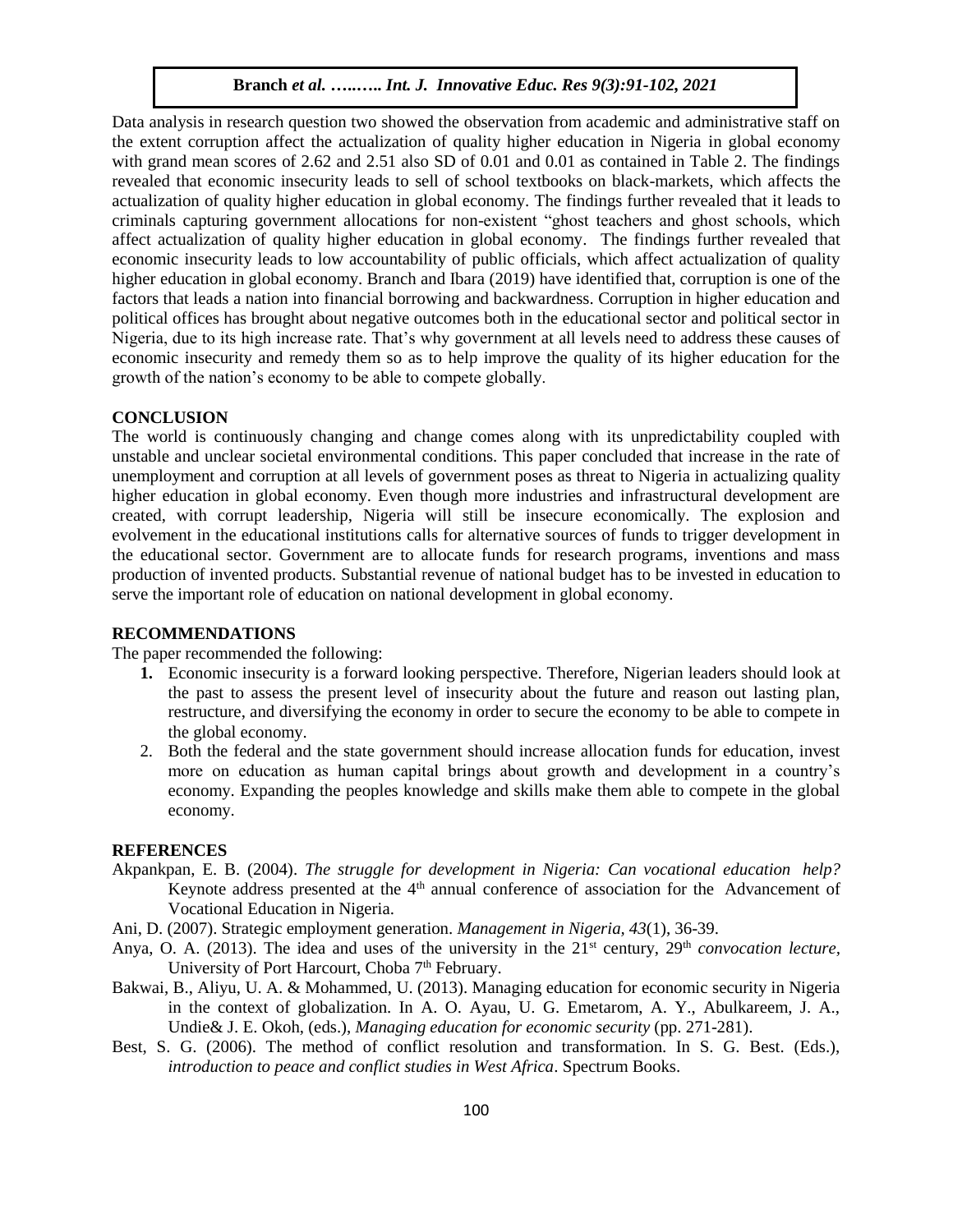Data analysis in research question two showed the observation from academic and administrative staff on the extent corruption affect the actualization of quality higher education in Nigeria in global economy with grand mean scores of 2.62 and 2.51 also SD of 0.01 and 0.01 as contained in Table 2. The findings revealed that economic insecurity leads to sell of school textbooks on black-markets, which affects the actualization of quality higher education in global economy. The findings further revealed that it leads to criminals capturing government allocations for non-existent "ghost teachers and ghost schools, which affect actualization of quality higher education in global economy. The findings further revealed that economic insecurity leads to low accountability of public officials, which affect actualization of quality higher education in global economy. Branch and Ibara (2019) have identified that, corruption is one of the factors that leads a nation into financial borrowing and backwardness. Corruption in higher education and political offices has brought about negative outcomes both in the educational sector and political sector in Nigeria, due to its high increase rate. That's why government at all levels need to address these causes of economic insecurity and remedy them so as to help improve the quality of its higher education for the growth of the nation's economy to be able to compete globally.

#### **CONCLUSION**

The world is continuously changing and change comes along with its unpredictability coupled with unstable and unclear societal environmental conditions. This paper concluded that increase in the rate of unemployment and corruption at all levels of government poses as threat to Nigeria in actualizing quality higher education in global economy. Even though more industries and infrastructural development are created, with corrupt leadership, Nigeria will still be insecure economically. The explosion and evolvement in the educational institutions calls for alternative sources of funds to trigger development in the educational sector. Government are to allocate funds for research programs, inventions and mass production of invented products. Substantial revenue of national budget has to be invested in education to serve the important role of education on national development in global economy.

#### **RECOMMENDATIONS**

The paper recommended the following:

- **1.** Economic insecurity is a forward looking perspective. Therefore, Nigerian leaders should look at the past to assess the present level of insecurity about the future and reason out lasting plan, restructure, and diversifying the economy in order to secure the economy to be able to compete in the global economy.
- 2. Both the federal and the state government should increase allocation funds for education, invest more on education as human capital brings about growth and development in a country's economy. Expanding the peoples knowledge and skills make them able to compete in the global economy.

#### **REFERENCES**

- Akpankpan, E. B. (2004). *The struggle for development in Nigeria: Can vocational education help?* Keynote address presented at the  $4<sup>th</sup>$  annual conference of association for the Advancement of Vocational Education in Nigeria.
- Ani, D. (2007). Strategic employment generation. *Management in Nigeria, 43*(1), 36-39.
- Anya, O. A. (2013). The idea and uses of the university in the 21<sup>st</sup> century, 29<sup>th</sup> *convocation lecture*, University of Port Harcourt, Choba 7<sup>th</sup> February.
- Bakwai, B., Aliyu, U. A. & Mohammed, U. (2013). Managing education for economic security in Nigeria in the context of globalization. In A. O. Ayau, U. G. Emetarom, A. Y., Abulkareem, J. A., Undie& J. E. Okoh, (eds.), *Managing education for economic security* (pp. 271-281).
- Best, S. G. (2006). The method of conflict resolution and transformation. In S. G. Best. (Eds.), *introduction to peace and conflict studies in West Africa*. Spectrum Books.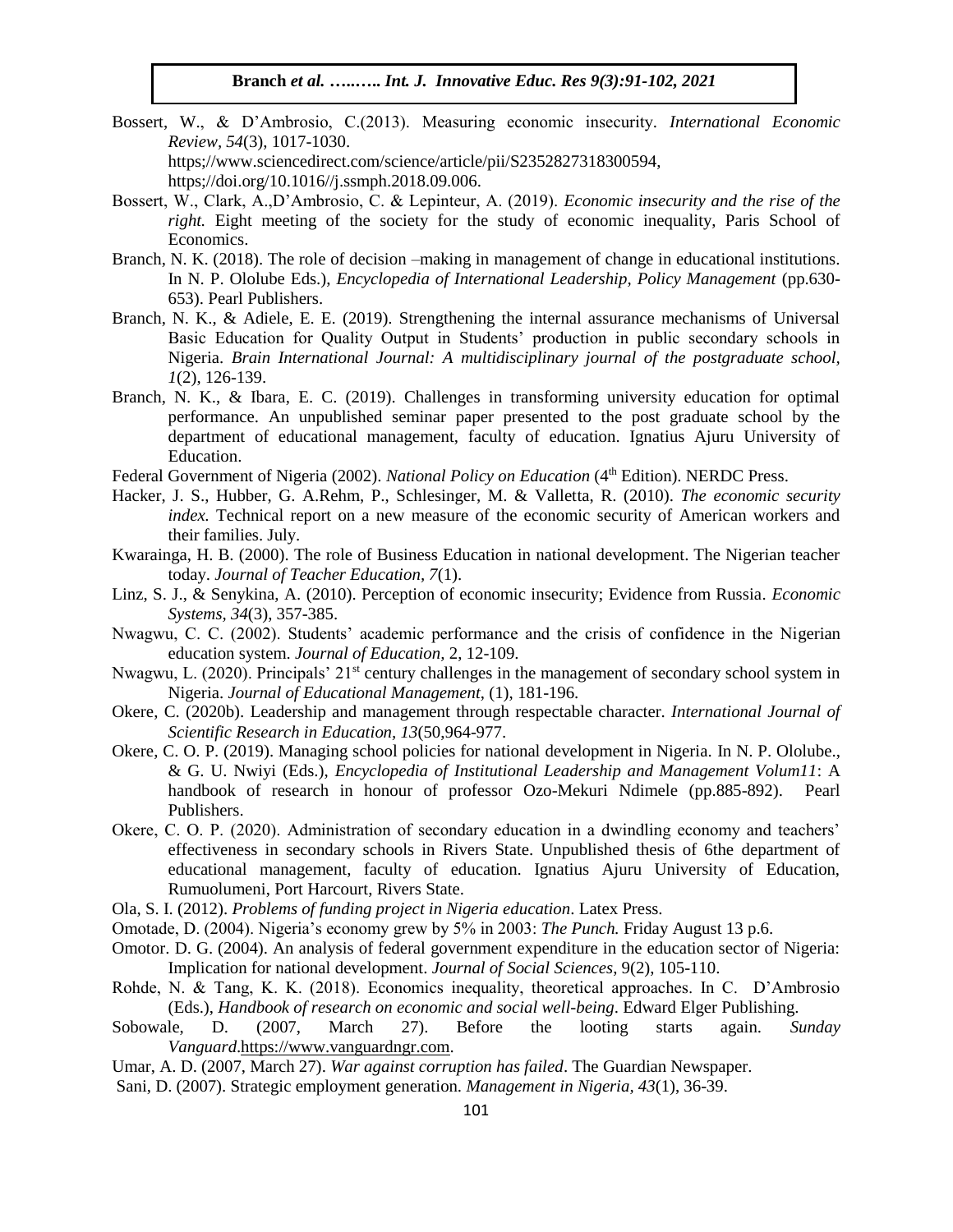- Bossert, W., & D'Ambrosio, C.(2013). Measuring economic insecurity*. International Economic Review, 54*(3), 1017-1030. https;//www.sciencedirect.com/science/article/pii/S2352827318300594, https;//doi.org/10.1016//j.ssmph.2018.09.006.
- Bossert, W., Clark, A.,D'Ambrosio, C. & Lepinteur, A. (2019). *Economic insecurity and the rise of the right.* Eight meeting of the society for the study of economic inequality, Paris School of Economics.
- Branch, N. K. (2018). The role of decision –making in management of change in educational institutions. In N. P. Ololube Eds.), *Encyclopedia of International Leadership, Policy Management* (pp.630- 653). Pearl Publishers.
- Branch, N. K., & Adiele, E. E. (2019). Strengthening the internal assurance mechanisms of Universal Basic Education for Quality Output in Students' production in public secondary schools in Nigeria. *Brain International Journal: A multidisciplinary journal of the postgraduate school, 1*(2), 126-139.
- Branch, N. K., & Ibara, E. C. (2019). Challenges in transforming university education for optimal performance. An unpublished seminar paper presented to the post graduate school by the department of educational management, faculty of education. Ignatius Ajuru University of Education.
- Federal Government of Nigeria (2002). *National Policy on Education* (4<sup>th</sup> Edition). NERDC Press.
- Hacker, J. S., Hubber, G. A.Rehm, P., Schlesinger, M. & Valletta, R. (2010). *The economic security index.* Technical report on a new measure of the economic security of American workers and their families. July.
- Kwarainga, H. B. (2000). The role of Business Education in national development. The Nigerian teacher today. *Journal of Teacher Education, 7*(1).
- Linz, S. J., & Senykina, A. (2010). Perception of economic insecurity; Evidence from Russia*. Economic Systems, 34*(3), 357-385.
- Nwagwu, C. C. (2002). Students' academic performance and the crisis of confidence in the Nigerian education system. *Journal of Education,* 2, 12-109.
- Nwagwu, L. (2020). Principals' 21<sup>st</sup> century challenges in the management of secondary school system in Nigeria. *Journal of Educational Management*, (1), 181-196.
- Okere, C. (2020b). Leadership and management through respectable character. *International Journal of Scientific Research in Education, 13*(50,964-977.
- Okere, C. O. P. (2019). Managing school policies for national development in Nigeria. In N. P. Ololube., & G. U. Nwiyi (Eds.), *Encyclopedia of Institutional Leadership and Management Volum11*: A handbook of research in honour of professor Ozo-Mekuri Ndimele (pp.885-892). Pearl Publishers.
- Okere, C. O. P. (2020). Administration of secondary education in a dwindling economy and teachers' effectiveness in secondary schools in Rivers State. Unpublished thesis of 6the department of educational management, faculty of education. Ignatius Ajuru University of Education, Rumuolumeni, Port Harcourt, Rivers State.
- Ola, S. I. (2012). *Problems of funding project in Nigeria education*. Latex Press.
- Omotade, D. (2004). Nigeria's economy grew by 5% in 2003: *The Punch.* Friday August 13 p.6.
- Omotor. D. G. (2004). An analysis of federal government expenditure in the education sector of Nigeria: Implication for national development. *Journal of Social Sciences*, 9(2), 105-110.
- Rohde, N. & Tang, K. K. (2018). Economics inequality, theoretical approaches. In C. D'Ambrosio (Eds.), *Handbook of research on economic and social well-being*. Edward Elger Publishing.
- Sobowale, D. (2007, March 27). Before the looting starts again. *Sunday Vanguard*[.https://www.vanguardngr.com.](https://www.vanguardngr.com/)
- Umar, A. D. (2007, March 27). *War against corruption has failed*. The Guardian Newspaper.
- Sani, D. (2007). Strategic employment generation. *Management in Nigeria, 43*(1), 36-39.